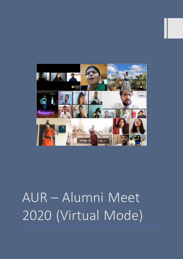

## AUR – Alumni Meet 2020 (Virtual Mode)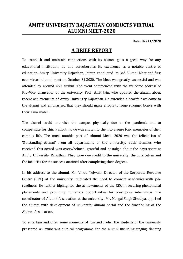## **AMITY UNIVERSITY RAJASTHAN CONDUCTS VIRTUAL ALUMNI MEET-2020**

Date: 02/11/2020

## **A BRIEF REPORT**

To establish and maintain connections with its alumni goes a great way for any educational institution, as this corroborates its excellence as a notable centre of education. Amity University Rajasthan, Jaipur, conducted its 3rd Alumni Meet and first ever virtual alumni meet on October 31,2020. The Meet was greatly successful and was attended by around 450 alumni. The event commenced with the welcome address of Pro-Vice Chancellor of the university Prof. Amit Jain, who updated the alumni about recent achievements of Amity University Rajasthan. He extended a heartfelt welcome to the alumni and emphasised that they should make efforts to forge stronger bonds with their alma mater.

The alumni could not visit the campus physically due to the pandemic and to compensate for this, a short movie was shown to them to arouse fond memories of their campus life. The most notable part of Alumni Meet -2020 was the felicitation of 'Outstanding Alumni' from all departments of the university. Each alumnus who received this award was overwhelmed, grateful and nostalgic about the days spent at Amity University Rajasthan. They gave due credit to the university, the curriculum and the faculties for the success attained after completing their degrees.

In his address to the alumni, Mr. Vinod Tejwani, Director of the Corporate Resourse Centre (CRC) at the university, reiterated the need to connect academics with jobreadiness. He further highlighted the achievements of the CRC in securing phenomenal placements and providing numerous opportunities for prestigious internships. The coordinator of Alumni Association at the university, Mr. Mangal Singh Sisodiya, apprised the alumni with development of university alumni portal and the functioning of the Alumni Association.

To entertain and offer some moments of fun and frolic, the students of the university presented an exuberant cultural programme for the alumni including singing, dancing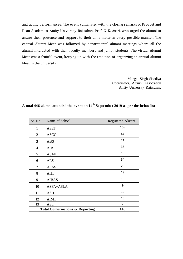and acting performances. The event culminated with the closing remarks of Provost and Dean Academics, Amity University Rajasthan, Prof. G. K. Aseri, who urged the alumni to assure their presence and support to their alma mater in every possible manner. The central Alumni Meet was followed by departmental alumni meetings where all the alumni interacted with their faculty members and junior students. The virtual Alumni Meet was a fruitful event, keeping up with the tradition of organizing an annual Alumni Meet in the university.

> Mangal Singh Sisodiya Coordinator, Alumni Association Amity University Rajasthan.

| Sr. No.                                    | Name of School | Registered Alumni |
|--------------------------------------------|----------------|-------------------|
| 1                                          | <b>ASET</b>    | 159               |
| $\overline{2}$                             | <b>ASCO</b>    | 44                |
| 3                                          | <b>ABS</b>     | 21                |
| $\overline{4}$                             | AIB            | 38                |
| 5                                          | <b>ASAP</b>    | 15                |
| 6                                          | <b>ALS</b>     | 54                |
| 7                                          | <b>ASAS</b>    | 26                |
| 8                                          | <b>AIIT</b>    | 19                |
| 9                                          | <b>AIBAS</b>   | 19                |
| 10                                         | ASFA+ASLA      | 9                 |
| 11                                         | <b>ASH</b>     | 19                |
| 12                                         | <b>AIMT</b>    | 16                |
| 13                                         | <b>ASL</b>     | 7                 |
| <b>Total Conformations &amp; Reporting</b> |                | 446               |

## **A total 446 alumni attended the event on 14th September 2019 as per the below list**: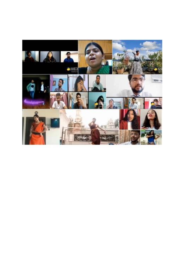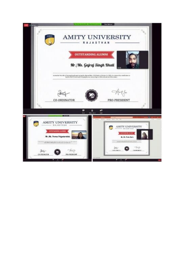